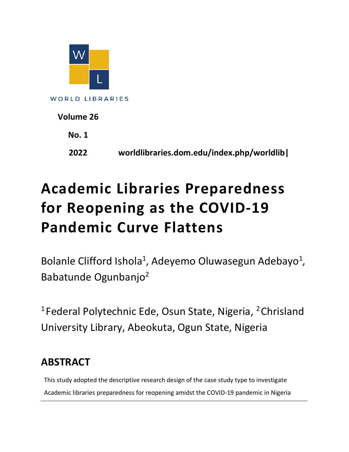

**WORLD LIBRARIES** 

| Volume 26    |                                           |
|--------------|-------------------------------------------|
| <b>No. 1</b> |                                           |
| 2022         | worldlibraries.dom.edu/index.php/worldlib |

# **Academic Libraries Preparedness for Reopening as the COVID-19 Pandemic Curve Flattens**

Bolanle Clifford Ishola<sup>1</sup>, Adeyemo Oluwasegun Adebayo<sup>1</sup>, Babatunde Ogunbanjo2

<sup>1</sup> Federal Polytechnic Ede, Osun State, Nigeria, <sup>2</sup> Chrisland University Library, Abeokuta, Ogun State, Nigeria

## **ABSTRACT**

This study adopted the descriptive research design of the case study type to investigate Academic libraries preparedness for reopening amidst the COVID-19 pandemic in Nigeria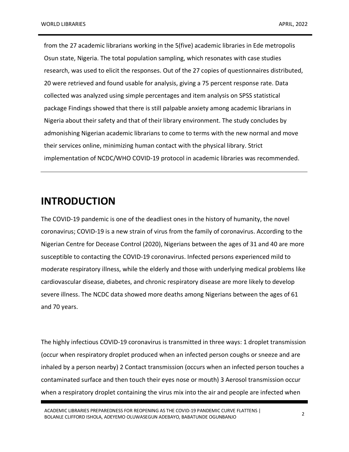from the 27 academic librarians working in the 5(five) academic libraries in Ede metropolis Osun state, Nigeria. The total population sampling, which resonates with case studies research, was used to elicit the responses. Out of the 27 copies of questionnaires distributed, 20 were retrieved and found usable for analysis, giving a 75 percent response rate. Data collected was analyzed using simple percentages and item analysis on SPSS statistical package Findings showed that there is still palpable anxiety among academic librarians in Nigeria about their safety and that of their library environment. The study concludes by admonishing Nigerian academic librarians to come to terms with the new normal and move their services online, minimizing human contact with the physical library. Strict implementation of NCDC/WHO COVID-19 protocol in academic libraries was recommended.

#### **INTRODUCTION**

The COVID-19 pandemic is one of the deadliest ones in the history of humanity, the novel coronavirus; COVID-19 is a new strain of virus from the family of coronavirus. According to the Nigerian Centre for Decease Control (2020), Nigerians between the ages of 31 and 40 are more susceptible to contacting the COVID-19 coronavirus. Infected persons experienced mild to moderate respiratory illness, while the elderly and those with underlying medical problems like cardiovascular disease, diabetes, and chronic respiratory disease are more likely to develop severe illness. The NCDC data showed more deaths among Nigerians between the ages of 61 and 70 years.

The highly infectious COVID-19 coronavirus is transmitted in three ways: 1 droplet transmission (occur when respiratory droplet produced when an infected person coughs or sneeze and are inhaled by a person nearby) 2 Contact transmission (occurs when an infected person touches a contaminated surface and then touch their eyes nose or mouth) 3 Aerosol transmission occur when a respiratory droplet containing the virus mix into the air and people are infected when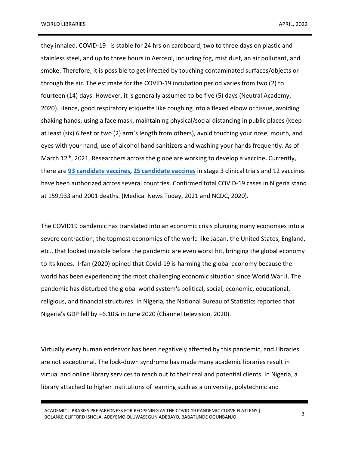they inhaled. COVID-19 is stable for 24 hrs on cardboard, two to three days on plastic and stainless steel, and up to three hours in Aerosol, including fog, mist dust, an air pollutant, and smoke. Therefore, it is possible to get infected by touching contaminated surfaces/objects or through the air. The estimate for the COVID-19 incubation period varies from two (2) to fourteen (14) days. However, it is generally assumed to be five (5) days (Neutral Academy, 2020). Hence, good respiratory etiquette like coughing into a flexed elbow or tissue, avoiding shaking hands, using a face mask, maintaining physical/social distancing in public places (keep at least (six) 6 feet or two (2) arm's length from others), avoid touching your nose, mouth, and eyes with your hand, use of alcohol hand sanitizers and washing your hands frequently. As of March 12th, 2021, Researchers across the globe are working to develop a vaccine**.** Currently, there are **93 candidate vaccines, 25 candidate vaccines** in stage 3 clinical trials and 12 vaccines have been authorized across several countries. Confirmed total COVID-19 cases in Nigeria stand at 159,933 and 2001 deaths. (Medical News Today, 2021 and NCDC, 2020).

The COVID19 pandemic has translated into an economic crisis plunging many economies into a severe contraction; the topmost economies of the world like Japan, the United States, England, etc., that looked invisible before the pandemic are even worst hit, bringing the global economy to its knees. Irfan (2020) opined that Covid-19 is harming the global economy because the world has been experiencing the most challenging economic situation since World War II. The pandemic has disturbed the global world system's political, social, economic, educational, religious, and financial structures. In Nigeria, the National Bureau of Statistics reported that Nigeria's GDP fell by –6.10% in June 2020 (Channel television, 2020).

Virtually every human endeavor has been negatively affected by this pandemic, and Libraries are not exceptional. The lock-down syndrome has made many academic libraries result in virtual and online library services to reach out to their real and potential clients. In Nigeria, a library attached to higher institutions of learning such as a university, polytechnic and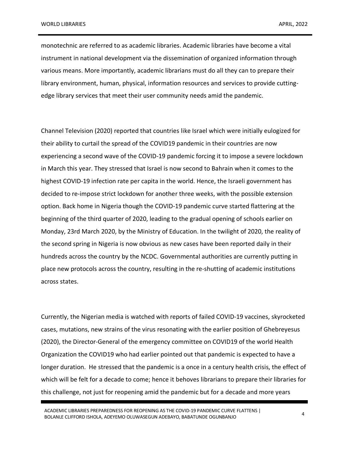monotechnic are referred to as academic libraries. Academic libraries have become a vital instrument in national development via the dissemination of organized information through various means. More importantly, academic librarians must do all they can to prepare their library environment, human, physical, information resources and services to provide cuttingedge library services that meet their user community needs amid the pandemic.

Channel Television (2020) reported that countries like Israel which were initially eulogized for their ability to curtail the spread of the COVID19 pandemic in their countries are now experiencing a second wave of the COVID-19 pandemic forcing it to impose a severe lockdown in March this year. They stressed that Israel is now second to Bahrain when it comes to the highest COVID-19 infection rate per capita in the world. Hence, the Israeli government has decided to re-impose strict lockdown for another three weeks, with the possible extension option. Back home in Nigeria though the COVID-19 pandemic curve started flattering at the beginning of the third quarter of 2020, leading to the gradual opening of schools earlier on Monday, 23rd March 2020, by the Ministry of Education. In the twilight of 2020, the reality of the second spring in Nigeria is now obvious as new cases have been reported daily in their hundreds across the country by the NCDC. Governmental authorities are currently putting in place new protocols across the country, resulting in the re-shutting of academic institutions across states.

Currently, the Nigerian media is watched with reports of failed COVID-19 vaccines, skyrocketed cases, mutations, new strains of the virus resonating with the earlier position of Ghebreyesus (2020), the Director-General of the emergency committee on COVID19 of the world Health Organization the COVID19 who had earlier pointed out that pandemic is expected to have a longer duration. He stressed that the pandemic is a once in a century health crisis, the effect of which will be felt for a decade to come; hence it behoves librarians to prepare their libraries for this challenge, not just for reopening amid the pandemic but for a decade and more years

ACADEMIC LIBRARIES PREPAREDNESS FOR REOPENING AS THE COVID-19 PANDEMIC CURVE FLATTENS | ACADEMIC LIBRANIES PREPAREDIVESS FOR REOPENING AS THE COVID-19 PANDEMIC CORVE FLATTENS | 4<br>BOLANLE CLIFFORD ISHOLA, ADEYEMO OLUWASEGUN ADEBAYO, BABATUNDE OGUNBANJO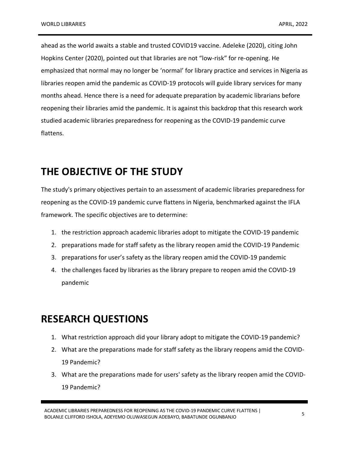ahead as the world awaits a stable and trusted COVID19 vaccine. Adeleke (2020), citing John Hopkins Center (2020), pointed out that libraries are not "low-risk" for re-opening. He emphasized that normal may no longer be 'normal' for library practice and services in Nigeria as libraries reopen amid the pandemic as COVID-19 protocols will guide library services for many months ahead. Hence there is a need for adequate preparation by academic librarians before reopening their libraries amid the pandemic. It is against this backdrop that this research work studied academic libraries preparedness for reopening as the COVID-19 pandemic curve flattens.

## **THE OBJECTIVE OF THE STUDY**

The study's primary objectives pertain to an assessment of academic libraries preparedness for reopening as the COVID-19 pandemic curve flattens in Nigeria, benchmarked against the IFLA framework. The specific objectives are to determine:

- 1. the restriction approach academic libraries adopt to mitigate the COVID-19 pandemic
- 2. preparations made for staff safety as the library reopen amid the COVID-19 Pandemic
- 3. preparations for user's safety as the library reopen amid the COVID-19 pandemic
- 4. the challenges faced by libraries as the library prepare to reopen amid the COVID-19 pandemic

## **RESEARCH QUESTIONS**

- 1. What restriction approach did your library adopt to mitigate the COVID-19 pandemic?
- 2. What are the preparations made for staff safety as the library reopens amid the COVID-19 Pandemic?
- 3. What are the preparations made for users' safety as the library reopen amid the COVID-19 Pandemic?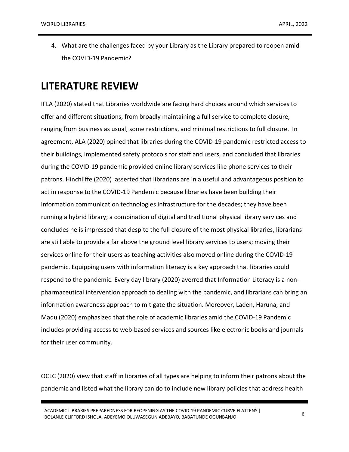4. What are the challenges faced by your Library as the Library prepared to reopen amid the COVID-19 Pandemic?

#### **LITERATURE REVIEW**

IFLA (2020) stated that Libraries worldwide are facing hard choices around which services to offer and different situations, from broadly maintaining a full service to complete closure, ranging from business as usual, some restrictions, and minimal restrictions to full closure. In agreement, ALA (2020) opined that libraries during the COVID-19 pandemic restricted access to their buildings, implemented safety protocols for staff and users, and concluded that libraries during the COVID-19 pandemic provided online library services like phone services to their patrons. Hinchliffe (2020) asserted that librarians are in a useful and advantageous position to act in response to the COVID-19 Pandemic because libraries have been building their information communication technologies infrastructure for the decades; they have been running a hybrid library; a combination of digital and traditional physical library services and concludes he is impressed that despite the full closure of the most physical libraries, librarians are still able to provide a far above the ground level library services to users; moving their services online for their users as teaching activities also moved online during the COVID-19 pandemic. Equipping users with information literacy is a key approach that libraries could respond to the pandemic. Every day library (2020) averred that Information Literacy is a nonpharmaceutical intervention approach to dealing with the pandemic, and librarians can bring an information awareness approach to mitigate the situation. Moreover, Laden, Haruna, and Madu (2020) emphasized that the role of academic libraries amid the COVID-19 Pandemic includes providing access to web-based services and sources like electronic books and journals for their user community.

OCLC (2020) view that staff in libraries of all types are helping to inform their patrons about the pandemic and listed what the library can do to include new library policies that address health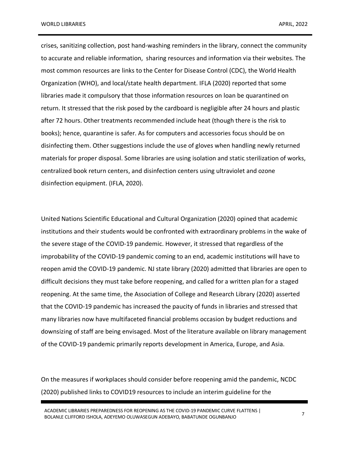crises, sanitizing collection, post hand-washing reminders in the library, connect the community to accurate and reliable information, sharing resources and information via their websites. The most common resources are links to the Center for Disease Control (CDC), the World Health Organization (WHO), and local/state health department. IFLA (2020) reported that some libraries made it compulsory that those information resources on loan be quarantined on return. It stressed that the risk posed by the cardboard is negligible after 24 hours and plastic after 72 hours. Other treatments recommended include heat (though there is the risk to books); hence, quarantine is safer. As for computers and accessories focus should be on disinfecting them. Other suggestions include the use of gloves when handling newly returned materials for proper disposal. Some libraries are using isolation and static sterilization of works, centralized book return centers, and disinfection centers using ultraviolet and ozone disinfection equipment. (IFLA, 2020).

United Nations Scientific Educational and Cultural Organization (2020) opined that academic institutions and their students would be confronted with extraordinary problems in the wake of the severe stage of the COVID-19 pandemic. However, it stressed that regardless of the improbability of the COVID-19 pandemic coming to an end, academic institutions will have to reopen amid the COVID-19 pandemic. NJ state library (2020) admitted that libraries are open to difficult decisions they must take before reopening, and called for a written plan for a staged reopening. At the same time, the Association of College and Research Library (2020) asserted that the COVID-19 pandemic has increased the paucity of funds in libraries and stressed that many libraries now have multifaceted financial problems occasion by budget reductions and downsizing of staff are being envisaged. Most of the literature available on library management of the COVID-19 pandemic primarily reports development in America, Europe, and Asia.

On the measures if workplaces should consider before reopening amid the pandemic, NCDC (2020) published links to COVID19 resources to include an interim guideline for the

ACADEMIC LIBRARIES PREPAREDNESS FOR REOPENING AS THE COVID-19 PANDEMIC CURVE FLATTENS | BOLANLE CLIFFORD ISHOLA, ADEYEMO OLUWASEGUN ADEBAYO, BABATUNDE OGUNBANJO <sup>7</sup>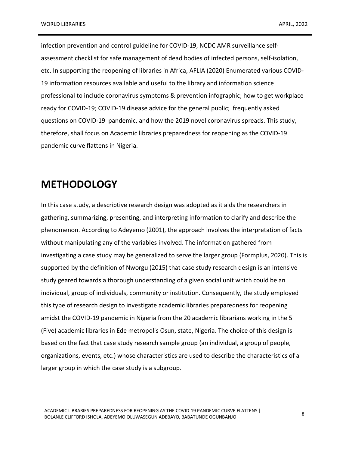infection prevention and control guideline for COVID-19, NCDC AMR surveillance selfassessment checklist for safe management of dead bodies of infected persons, self-isolation, etc. In supporting the reopening of libraries in Africa, AFLIA (2020) Enumerated various COVID-19 information resources available and useful to the library and information science professional to include coronavirus symptoms & prevention infographic; how to get workplace ready for COVID-19; COVID-19 disease advice for the general public; frequently asked questions on COVID-19 pandemic, and how the 2019 novel coronavirus spreads. This study, therefore, shall focus on Academic libraries preparedness for reopening as the COVID-19 pandemic curve flattens in Nigeria.

#### **METHODOLOGY**

In this case study, a descriptive research design was adopted as it aids the researchers in gathering, summarizing, presenting, and interpreting information to clarify and describe the phenomenon. According to Adeyemo (2001), the approach involves the interpretation of facts without manipulating any of the variables involved. The information gathered from investigating a case study may be generalized to serve the larger group (Formplus, 2020). This is supported by the definition of Nworgu (2015) that case study research design is an intensive study geared towards a thorough understanding of a given social unit which could be an individual, group of individuals, community or institution. Consequently, the study employed this type of research design to investigate academic libraries preparedness for reopening amidst the COVID-19 pandemic in Nigeria from the 20 academic librarians working in the 5 (Five) academic libraries in Ede metropolis Osun, state, Nigeria. The choice of this design is based on the fact that case study research sample group (an individual, a group of people, organizations, events, etc.) whose characteristics are used to describe the characteristics of a larger group in which the case study is a subgroup.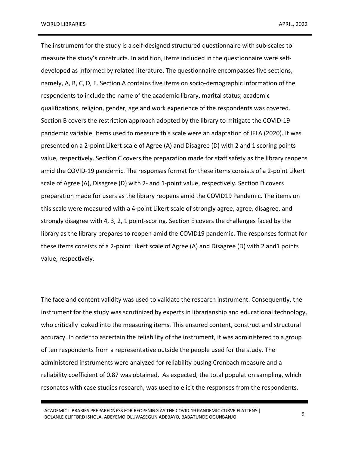The instrument for the study is a self-designed structured questionnaire with sub-scales to measure the study's constructs. In addition, items included in the questionnaire were selfdeveloped as informed by related literature. The questionnaire encompasses five sections, namely, A, B, C, D, E. Section A contains five items on socio-demographic information of the respondents to include the name of the academic library, marital status, academic qualifications, religion, gender, age and work experience of the respondents was covered. Section B covers the restriction approach adopted by the library to mitigate the COVID-19 pandemic variable. Items used to measure this scale were an adaptation of IFLA (2020). It was presented on a 2-point Likert scale of Agree (A) and Disagree (D) with 2 and 1 scoring points value, respectively. Section C covers the preparation made for staff safety as the library reopens amid the COVID-19 pandemic. The responses format for these items consists of a 2-point Likert scale of Agree (A), Disagree (D) with 2- and 1-point value, respectively. Section D covers preparation made for users as the library reopens amid the COVID19 Pandemic. The items on this scale were measured with a 4-point Likert scale of strongly agree, agree, disagree, and strongly disagree with 4, 3, 2, 1 point-scoring. Section E covers the challenges faced by the library as the library prepares to reopen amid the COVID19 pandemic. The responses format for these items consists of a 2-point Likert scale of Agree (A) and Disagree (D) with 2 and1 points value, respectively.

The face and content validity was used to validate the research instrument. Consequently, the instrument for the study was scrutinized by experts in librarianship and educational technology, who critically looked into the measuring items. This ensured content, construct and structural accuracy. In order to ascertain the reliability of the instrument, it was administered to a group of ten respondents from a representative outside the people used for the study. The administered instruments were analyzed for reliability busing Cronbach measure and a reliability coefficient of 0.87 was obtained. As expected, the total population sampling, which resonates with case studies research, was used to elicit the responses from the respondents.

ACADEMIC LIBRARIES PREPAREDNESS FOR REOPENING AS THE COVID-19 PANDEMIC CURVE FLATTENS | ACADEMIC LIBRANIES PREPAREDIVESS FOR REOPENING AS THE COVID-19 PANDEMIC CORVE FLATTENS | 9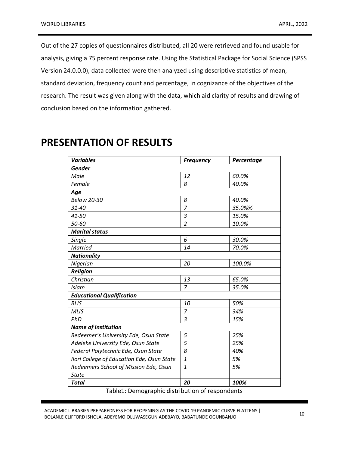Out of the 27 copies of questionnaires distributed, all 20 were retrieved and found usable for analysis, giving a 75 percent response rate. Using the Statistical Package for Social Science (SPSS Version 24.0.0.0), data collected were then analyzed using descriptive statistics of mean, standard deviation, frequency count and percentage, in cognizance of the objectives of the research. The result was given along with the data, which aid clarity of results and drawing of conclusion based on the information gathered.

| <b>Variables</b>                           | <b>Frequency</b> | Percentage |
|--------------------------------------------|------------------|------------|
| <b>Gender</b>                              |                  |            |
| Male                                       | 12               | 60.0%      |
| Female                                     | 8                | 40.0%      |
| Age                                        |                  |            |
| <b>Below 20-30</b>                         | 8                | 40.0%      |
| $31 - 40$                                  | $\overline{z}$   | 35.0%%     |
| 41-50                                      | 3                | 15.0%      |
| 50-60                                      | $\overline{2}$   | 10.0%      |
| <b>Marital status</b>                      |                  |            |
| Single                                     | 6                | 30.0%      |
| <b>Married</b>                             | 14               | 70.0%      |
| <b>Nationality</b>                         |                  |            |
| Nigerian                                   | 20               | 100.0%     |
| <b>Religion</b>                            |                  |            |
| Christian                                  | 13               | 65.0%      |
| Islam                                      | $\overline{7}$   | 35.0%      |
| <b>Educational Qualification</b>           |                  |            |
| <b>BLIS</b>                                | 10               | 50%        |
| <b>MLIS</b>                                | $\overline{7}$   | 34%        |
| PhD                                        | 3                | 15%        |
| <b>Name of Institution</b>                 |                  |            |
| Redeemer's University Ede, Osun State      | 5                | 25%        |
| Adeleke University Ede, Osun State         | 5                | 25%        |
| Federal Polytechnic Ede, Osun State        | 8                | 40%        |
| Ilori College of Education Ede, Osun State | 1                | 5%         |
| Redeemers School of Mission Ede, Osun      | 1                | 5%         |
| <b>State</b>                               |                  |            |
| <b>Total</b>                               | 20               | 100%       |

## **PRESENTATION OF RESULTS**

Table1: Demographic distribution of respondents

ACADEMIC LIBRARIES PREPAREDNESS FOR REOPENING AS THE COVID-19 PANDEMIC CURVE FLATTENS | ACADEMIC LIBRANIES FREFAREDIVESS FOR REOFENING AS THE COVID-19 FANDEMIC CONVETENTIONS | 10<br>BOLANLE CLIFFORD ISHOLA, ADEYEMO OLUWASEGUN ADEBAYO, BABATUNDE OGUNBANJO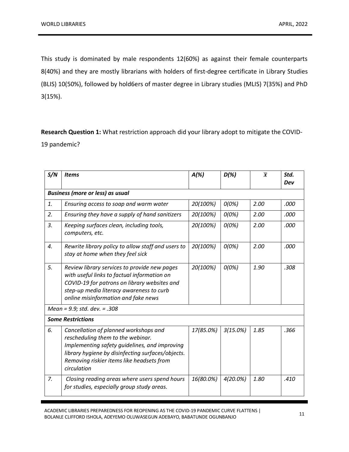This study is dominated by male respondents 12(60%) as against their female counterparts 8(40%) and they are mostly librarians with holders of first-degree certificate in Library Studies (BLIS) 10(50%), followed by hold6ers of master degree in Library studies (MLIS) 7(35%) and PhD 3(15%).

**Research Question 1:** What restriction approach did your library adopt to mitigate the COVID-19 pandemic?

| S/N              | <b>Items</b>                                                                                                                                                                                                                                 | $A(\%)$   | $D(\%)$  | $\overline{x}$ | Std.<br>Dev |
|------------------|----------------------------------------------------------------------------------------------------------------------------------------------------------------------------------------------------------------------------------------------|-----------|----------|----------------|-------------|
|                  | <b>Business (more or less) as usual</b>                                                                                                                                                                                                      |           |          |                |             |
| 1.               | Ensuring access to soap and warm water                                                                                                                                                                                                       | 20(100%)  | O(0%)    | 2.00           | .000        |
| 2.               | Ensuring they have a supply of hand sanitizers                                                                                                                                                                                               | 20(100%)  | O(0%)    | 2.00           | .000        |
| $\overline{3}$ . | Keeping surfaces clean, including tools,<br>computers, etc.                                                                                                                                                                                  | 20(100%)  | O(0%)    | 2.00           | .000        |
| 4.               | Rewrite library policy to allow staff and users to<br>stay at home when they feel sick                                                                                                                                                       | 20(100%)  | O(0%)    | 2.00           | .000        |
| 5.               | Review library services to provide new pages<br>with useful links to factual information on<br>COVID-19 for patrons on library websites and<br>step-up media literacy awareness to curb<br>online misinformation and fake news               |           | O(0%)    | 1.90           | .308        |
|                  | Mean = 9.9; std. dev. = .308                                                                                                                                                                                                                 |           |          |                |             |
|                  | <b>Some Restrictions</b>                                                                                                                                                                                                                     |           |          |                |             |
| 6.               | Cancellation of planned workshops and<br>rescheduling them to the webinar.<br>Implementing safety guidelines, and improving<br>library hygiene by disinfecting surfaces/objects.<br>Removing riskier items like headsets from<br>circulation | 17(85.0%) | 3(15.0%) | 1.85           | .366        |
| $Z_{\rm r}$      | Closing reading areas where users spend hours<br>for studies, especially group study areas.                                                                                                                                                  | 16(80.0%) | 4(20.0%) | 1.80           | .410        |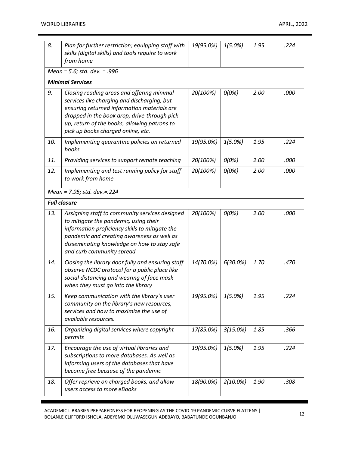| 8.  | Plan for further restriction; equipping staff with<br>skills (digital skills) and tools require to work<br>from home                                                                                                                                                            | 19(95.0%) | $1(5.0\%)$  | 1.95 | .224 |  |  |  |  |
|-----|---------------------------------------------------------------------------------------------------------------------------------------------------------------------------------------------------------------------------------------------------------------------------------|-----------|-------------|------|------|--|--|--|--|
|     | Mean = 5.6; std. dev. = .996                                                                                                                                                                                                                                                    |           |             |      |      |  |  |  |  |
|     | <b>Minimal Services</b>                                                                                                                                                                                                                                                         |           |             |      |      |  |  |  |  |
| 9.  | Closing reading areas and offering minimal<br>services like charging and discharging, but<br>ensuring returned information materials are<br>dropped in the book drop, drive-through pick-<br>up, return of the books, allowing patrons to<br>pick up books charged online, etc. | 20(100%)  | O(0%)       | 2.00 | .000 |  |  |  |  |
| 10. | Implementing quarantine policies on returned<br>books                                                                                                                                                                                                                           | 19(95.0%) | $1(5.0\%)$  | 1.95 | .224 |  |  |  |  |
| 11. | Providing services to support remote teaching                                                                                                                                                                                                                                   | 20(100%)  | O(0%)       | 2.00 | .000 |  |  |  |  |
| 12. | Implementing and test running policy for staff<br>to work from home                                                                                                                                                                                                             | 20(100%)  | O(0%)       | 2.00 | .000 |  |  |  |  |
|     | Mean = 7.95; std. dev. = 224                                                                                                                                                                                                                                                    |           |             |      |      |  |  |  |  |
|     | <b>Full closure</b>                                                                                                                                                                                                                                                             |           |             |      |      |  |  |  |  |
| 13. | Assigning staff to community services designed<br>to mitigate the pandemic, using their<br>information proficiency skills to mitigate the<br>pandemic and creating awareness as well as<br>disseminating knowledge on how to stay safe<br>and curb community spread             | 20(100%)  | O(0%)       | 2.00 | .000 |  |  |  |  |
| 14. | Closing the library door fully and ensuring staff<br>observe NCDC protocol for a public place like<br>social distancing and wearing of face mask<br>when they must go into the library                                                                                          | 14(70.0%) | $6(30.0\%)$ | 1.70 | .470 |  |  |  |  |
| 15. | Keep communication with the library's user<br>community on the library's new resources,<br>services and how to maximize the use of<br>available resources.                                                                                                                      | 19(95.0%) | $1(5.0\%)$  | 1.95 | .224 |  |  |  |  |
| 16. | Organizing digital services where copyright<br>permits                                                                                                                                                                                                                          | 17(85.0%) | 3(15.0%)    | 1.85 | .366 |  |  |  |  |
| 17. | Encourage the use of virtual libraries and<br>subscriptions to more databases. As well as<br>informing users of the databases that have<br>become free because of the pandemic                                                                                                  | 19(95.0%) | $1(5.0\%)$  | 1.95 | .224 |  |  |  |  |
| 18. | Offer reprieve on charged books, and allow<br>users access to more eBooks                                                                                                                                                                                                       | 18(90.0%) | $2(10.0\%)$ | 1.90 | .308 |  |  |  |  |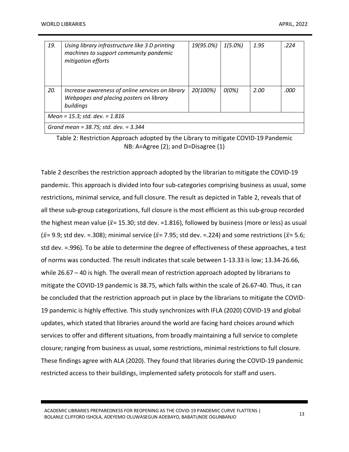| 19.                                        | Using library infrastructure like 3 D printing<br>machines to support community pandemic<br>mitigation efforts | 19(95.0%) | $1(5.0\%)$ | 1.95 | .224 |  |
|--------------------------------------------|----------------------------------------------------------------------------------------------------------------|-----------|------------|------|------|--|
| 20.                                        | Increase awareness of online services on library<br>Webpages and placing posters on library<br>buildings       | 20(100%)  | O(0%)      | 2.00 | .000 |  |
| Mean = $15.3$ ; std. dev. = $1.816$        |                                                                                                                |           |            |      |      |  |
| Grand mean = $38.75$ ; std. dev. = $3.344$ |                                                                                                                |           |            |      |      |  |

Table 2: Restriction Approach adopted by the Library to mitigate COVID-19 Pandemic NB: A=Agree (2); and D=Disagree (1)

Table 2 describes the restriction approach adopted by the librarian to mitigate the COVID-19 pandemic. This approach is divided into four sub-categories comprising business as usual, some restrictions, minimal service, and full closure. The result as depicted in Table 2, reveals that of all these sub-group categorizations, full closure is the most efficient as this sub-group recorded the highest mean value ( $\bar{x}$ = 15.30; std dev. =1.816), followed by business (more or less) as usual ( $\bar{x}$ = 9.9; std dev. =.308); minimal service ( $\bar{x}$ = 7.95; std dev. =.224) and some restrictions ( $\bar{x}$ = 5.6; std dev. =.996). To be able to determine the degree of effectiveness of these approaches, a test of norms was conducted. The result indicates that scale between 1-13.33 is low; 13.34-26.66, while 26.67 – 40 is high. The overall mean of restriction approach adopted by librarians to mitigate the COVID-19 pandemic is 38.75, which falls within the scale of 26.67-40. Thus, it can be concluded that the restriction approach put in place by the librarians to mitigate the COVID-19 pandemic is highly effective. This study synchronizes with IFLA (2020) COVID-19 and global updates, which stated that libraries around the world are facing hard choices around which services to offer and different situations, from broadly maintaining a full service to complete closure; ranging from business as usual, some restrictions, minimal restrictions to full closure. These findings agree with ALA (2020). They found that libraries during the COVID-19 pandemic restricted access to their buildings, implemented safety protocols for staff and users.

ACADEMIC LIBRARIES PREPAREDNESS FOR REOPENING AS THE COVID-19 PANDEMIC CURVE FLATTENS | ACADEMIC LIBRANIES FREFAREDIVESS FOR REOFENING AS THE COVID-19 FANDEMIC CONVETENTIONS | 13<br>BOLANLE CLIFFORD ISHOLA, ADEYEMO OLUWASEGUN ADEBAYO, BABATUNDE OGUNBANJO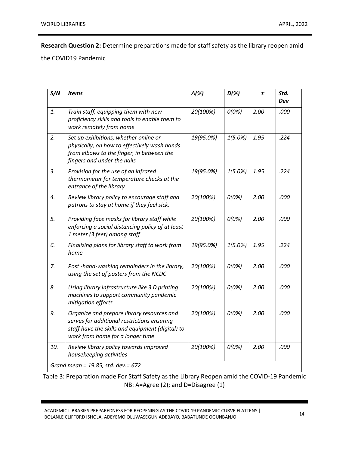**Research Question 2:** Determine preparations made for staff safety as the library reopen amid

the COVID19 Pandemic

| S/N | <b>Items</b>                                                                                                                                                                      | $A(\%)$   | $D(\%)$    | $\overline{x}$ | Std. |
|-----|-----------------------------------------------------------------------------------------------------------------------------------------------------------------------------------|-----------|------------|----------------|------|
|     |                                                                                                                                                                                   |           |            |                | Dev  |
| 1.  | Train staff, equipping them with new<br>proficiency skills and tools to enable them to<br>work remotely from home                                                                 | 20(100%)  | O(0%)      | 2.00           | .000 |
| 2.  | Set up exhibitions, whether online or<br>physically, on how to effectively wash hands<br>from elbows to the finger, in between the<br>fingers and under the nails                 | 19(95.0%) | $1(5.0\%)$ | 1.95           | .224 |
| 3.  | Provision for the use of an infrared<br>thermometer for temperature checks at the<br>entrance of the library                                                                      | 19(95.0%) | $1(5.0\%)$ | 1.95           | .224 |
| 4.  | Review library policy to encourage staff and<br>patrons to stay at home if they feel sick.                                                                                        | 20(100%)  | O(0%)      | 2.00           | .000 |
| 5.  | Providing face masks for library staff while<br>enforcing a social distancing policy of at least<br>1 meter (3 feet) among staff                                                  | 20(100%)  | O(0%)      | 2.00           | .000 |
| 6.  | Finalizing plans for library staff to work from<br>home                                                                                                                           | 19(95.0%) | 1(5.0%)    | 1.95           | .224 |
| 7.  | Post-hand-washing remainders in the library,<br>using the set of posters from the NCDC                                                                                            | 20(100%)  | O(0%)      | 2.00           | .000 |
| 8.  | Using library infrastructure like 3 D printing<br>machines to support community pandemic<br>mitigation efforts                                                                    | 20(100%)  | O(0%)      | 2.00           | .000 |
| 9.  | Organize and prepare library resources and<br>serves for additional restrictions ensuring<br>staff have the skills and equipment (digital) to<br>work from home for a longer time | 20(100%)  | O(0%)      | 2.00           | .000 |
| 10. | Review library policy towards improved<br>housekeeping activities                                                                                                                 | 20(100%)  | O(0%)      | 2.00           | .000 |
|     | Grand mean = 19.85, std. dev.=.672                                                                                                                                                |           |            |                |      |

Table 3: Preparation made For Staff Safety as the Library Reopen amid the COVID-19 Pandemic NB: A=Agree (2); and D=Disagree (1)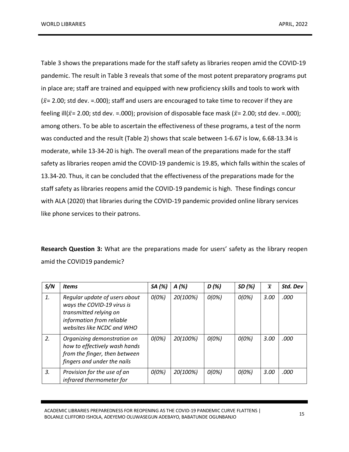Table 3 shows the preparations made for the staff safety as libraries reopen amid the COVID-19 pandemic. The result in Table 3 reveals that some of the most potent preparatory programs put in place are; staff are trained and equipped with new proficiency skills and tools to work with  $({\bar x}$  = 2.00; std dev. =.000); staff and users are encouraged to take time to recover if they are feeling ill( $\bar{x}$ = 2.00; std dev. =.000); provision of disposable face mask ( $\bar{x}$ = 2.00; std dev. =.000); among others. To be able to ascertain the effectiveness of these programs, a test of the norm was conducted and the result (Table 2) shows that scale between 1-6.67 is low, 6.68-13.34 is moderate, while 13-34-20 is high. The overall mean of the preparations made for the staff safety as libraries reopen amid the COVID-19 pandemic is 19.85, which falls within the scales of 13.34-20. Thus, it can be concluded that the effectiveness of the preparations made for the staff safety as libraries reopens amid the COVID-19 pandemic is high. These findings concur with ALA (2020) that libraries during the COVID-19 pandemic provided online library services like phone services to their patrons.

**Research Question 3:** What are the preparations made for users' safety as the library reopen amid the COVID19 pandemic?

| S/N | <b>Items</b>                                                                                                                                     | SA (%) | A(%)     | D(%)  | SD(%) | $\overline{x}$ | Std. Dev |
|-----|--------------------------------------------------------------------------------------------------------------------------------------------------|--------|----------|-------|-------|----------------|----------|
| 1.  | Regular update of users about<br>ways the COVID-19 virus is<br>transmitted relying on<br>information from reliable<br>websites like NCDC and WHO | O(0%)  | 20(100%) | O(0%) | O(0%) | 3.00           | .000     |
| 2.  | Organizing demonstration on<br>how to effectively wash hands<br>from the finger, then between<br>fingers and under the nails                     | 0(0%)  | 20(100%) | O(0%) | O(0%) | 3.00           | .000     |
| 3.  | Provision for the use of an<br>infrared thermometer for                                                                                          | 0(0%)  | 20(100%) | 0(0%) | O(0%) | 3.00           | .000     |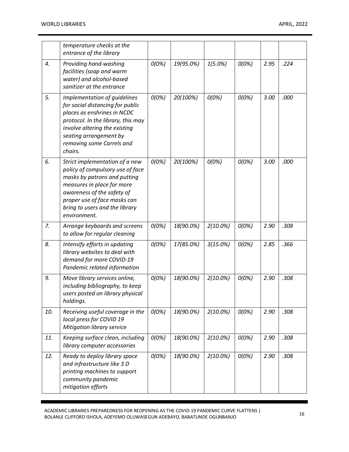|     | temperature checks at the<br>entrance of the library                                                                                                                                                                                             |       |           |             |       |      |      |
|-----|--------------------------------------------------------------------------------------------------------------------------------------------------------------------------------------------------------------------------------------------------|-------|-----------|-------------|-------|------|------|
| 4.  | Providing hand-washing<br>facilities (soap and warm<br>water) and alcohol-based<br>sanitizer at the entrance                                                                                                                                     | O(0%) | 19(95.0%) | 1(5.0%)     | O(0%) | 2.95 | .224 |
| 5.  | Implementation of guidelines<br>for social distancing for public<br>places as enshrines in NCDC<br>protocol. In the library, this may<br>involve altering the existing<br>seating arrangement by<br>removing some Carrels and<br>chairs.         | O(0%) | 20(100%)  | O(0%)       | O(0%) | 3.00 | .000 |
| 6.  | Strict implementation of a new<br>policy of compulsory use of face<br>masks by patrons and putting<br>measures in place for more<br>awareness of the safety of<br>proper use of face masks can<br>bring to users and the library<br>environment. | O(0%) | 20(100%)  | O(0%)       | O(0%) | 3.00 | .000 |
| 7.  | Arrange keyboards and screens<br>to allow for regular cleaning                                                                                                                                                                                   | O(0%) | 18(90.0%) | $2(10.0\%)$ | O(0%) | 2.90 | .308 |
| 8.  | Intensify efforts in updating<br>library websites to deal with<br>demand for more COVID-19<br>Pandemic related information                                                                                                                       | O(0%) | 17(85.0%) | 3(15.0%)    | O(0%) | 2.85 | .366 |
| 9.  | Move library services online,<br>including bibliography, to keep<br>users posted on library physical<br>holdings.                                                                                                                                | O(0%) | 18(90.0%) | $2(10.0\%)$ | O(0%) | 2.90 | .308 |
| 10. | Receiving useful coverage in the<br>local press for COVID 19<br>Mitigation library service                                                                                                                                                       | O(0%) | 18(90.0%) | $2(10.0\%)$ | O(0%) | 2.90 | .308 |
| 11. | Keeping surface clean, including<br>library computer accessories                                                                                                                                                                                 | O(0%) | 18(90.0%) | $2(10.0\%)$ | O(0%) | 2.90 | .308 |
| 12. | Ready to deploy library space<br>and infrastructure like 3 D<br>printing machines to support<br>community pandemic<br>mitigation efforts                                                                                                         | O(0%) | 18(90.0%) | $2(10.0\%)$ | O(0%) | 2.90 | .308 |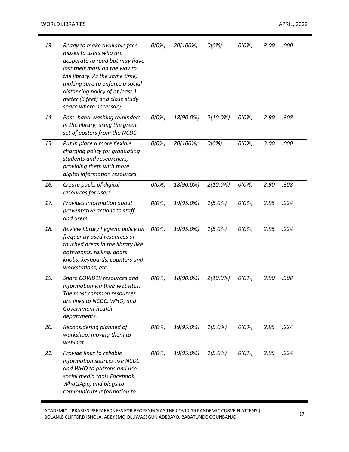| 13. | Ready to make available face<br>masks to users who are<br>desperate to read but may have<br>lost their mask on the way to<br>the library. At the same time,<br>making sure to enforce a social<br>distancing policy of at least 1<br>meter (3 feet) and close study<br>space where necessary. | O(0%) | 20(100%)  | O(0%)       | O(0%) | 3.00 | .000 |
|-----|-----------------------------------------------------------------------------------------------------------------------------------------------------------------------------------------------------------------------------------------------------------------------------------------------|-------|-----------|-------------|-------|------|------|
| 14. | Post-hand-washing reminders<br>in the library, using the great<br>set of posters from the NCDC                                                                                                                                                                                                | O(0%) | 18(90.0%) | 2(10.0%)    | O(0%) | 2.90 | .308 |
| 15. | Put in place a more flexible<br>charging policy for graduating<br>students and researchers,<br>providing them with more<br>digital information resources.                                                                                                                                     | O(0%) | 20(100%)  | O(0%)       | O(0%) | 3.00 | .000 |
| 16. | Create packs of digital<br>resources for users                                                                                                                                                                                                                                                | O(0%) | 18(90.0%) | $2(10.0\%)$ | O(0%) | 2.90 | .308 |
| 17. | Provides information about<br>preventative actions to staff<br>and users                                                                                                                                                                                                                      | O(0%) | 19(95.0%) | $1(5.0\%)$  | O(0%) | 2.95 | .224 |
| 18. | Review library hygiene policy on<br>frequently used resources or<br>touched areas in the library like<br>bathrooms, railing, doors<br>knobs, keyboards, counters and<br>workstations, etc.                                                                                                    | O(0%) | 19(95.0%) | $1(5.0\%)$  | O(0%) | 2.95 | .224 |
| 19. | Share COVID19 resources and<br>information via their websites.<br>The most common resources<br>are links to NCDC, WHO, and<br>Government health<br>departments.                                                                                                                               | O(0%) | 18(90.0%) | $2(10.0\%)$ | O(0%) | 2.90 | .308 |
| 20. | Reconsidering planned of<br>workshop, moving them to<br>webinar                                                                                                                                                                                                                               | O(0%) | 19(95.0%) | $1(5.0\%)$  | O(0%) | 2.95 | .224 |
| 21. | Provide links to reliable<br>information sources like NCDC<br>and WHO to patrons and use<br>social media tools Facebook,<br>WhatsApp, and blogs to<br>communicate information to                                                                                                              | O(0%) | 19(95.0%) | $1(5.0\%)$  | O(0%) | 2.95 | .224 |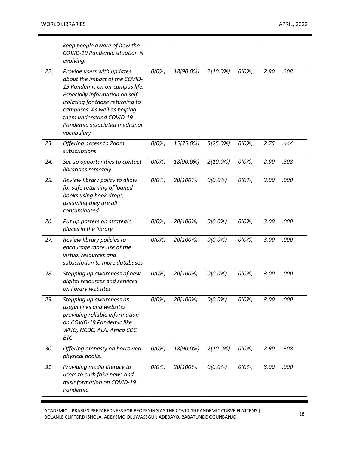|     | keep people aware of how the<br>COVID-19 Pandemic situation is<br>evolving.                                                                                                                                                                                                      |       |           |             |       |      |      |
|-----|----------------------------------------------------------------------------------------------------------------------------------------------------------------------------------------------------------------------------------------------------------------------------------|-------|-----------|-------------|-------|------|------|
| 22. | Provide users with updates<br>about the impact of the COVID-<br>19 Pandemic on on-campus life.<br>Especially information on self-<br>isolating for those returning to<br>campuses. As well as helping<br>them understand COVID-19<br>Pandemic associated medicinal<br>vocabulary | O(0%) | 18(90.0%) | $2(10.0\%)$ | O(0%) | 2.90 | .308 |
| 23. | Offering access to Zoom<br>subscriptions                                                                                                                                                                                                                                         | O(0%) | 15(75.0%) | 5(25.0%)    | O(0%) | 2.75 | .444 |
| 24. | Set up opportunities to contact<br>librarians remotely                                                                                                                                                                                                                           | O(0%) | 18(90.0%) | $2(10.0\%)$ | O(0%) | 2.90 | .308 |
| 25. | Review library policy to allow<br>for safe returning of loaned<br>books using book drops,<br>assuming they are all<br>contaminated                                                                                                                                               | O(0%) | 20(100%)  | $O(0.0\%)$  | O(0%) | 3.00 | .000 |
| 26. | Put up posters on strategic<br>places in the library                                                                                                                                                                                                                             | O(0%) | 20(100%)  | $O(0.0\%)$  | O(0%) | 3.00 | .000 |
| 27. | Review library policies to<br>encourage more use of the<br>virtual resources and<br>subscription to more databases                                                                                                                                                               | O(0%) | 20(100%)  | $O(0.0\%)$  | O(0%) | 3.00 | .000 |
| 28. | Stepping up awareness of new<br>digital resources and services<br>on library websites                                                                                                                                                                                            | O(0%) | 20(100%)  | $O(0.0\%)$  | O(0%) | 3.00 | .000 |
| 29. | Stepping up awareness on<br>useful links and websites<br>providing reliable information<br>on COVID-19 Pandemic like<br>WHO, NCDC, ALA, Africa CDC<br><b>ETC</b>                                                                                                                 | O(0%) | 20(100%)  | $O(0.0\%)$  | O(0%) | 3.00 | .000 |
| 30. | Offering amnesty on borrowed<br>physical books.                                                                                                                                                                                                                                  | O(0%) | 18(90.0%) | $2(10.0\%)$ | O(0%) | 2.90 | .308 |
| 31  | Providing media literacy to<br>users to curb fake news and<br>misinformation on COVID-19<br>Pandemic                                                                                                                                                                             | O(0%) | 20(100%)  | O(0.0%)     | O(0%) | 3.00 | .000 |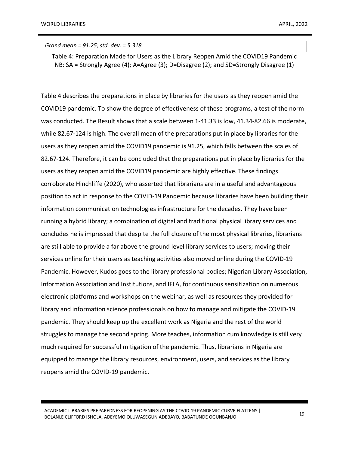*Grand mean = 91.25; std. dev. = 5.318*

Table 4: Preparation Made for Users as the Library Reopen Amid the COVID19 Pandemic NB: SA = Strongly Agree (4); A=Agree (3); D=Disagree (2); and SD=Strongly Disagree (1)

Table 4 describes the preparations in place by libraries for the users as they reopen amid the COVID19 pandemic. To show the degree of effectiveness of these programs, a test of the norm was conducted. The Result shows that a scale between 1-41.33 is low, 41.34-82.66 is moderate, while 82.67-124 is high. The overall mean of the preparations put in place by libraries for the users as they reopen amid the COVID19 pandemic is 91.25, which falls between the scales of 82.67-124. Therefore, it can be concluded that the preparations put in place by libraries for the users as they reopen amid the COVID19 pandemic are highly effective. These findings corroborate Hinchliffe (2020), who asserted that librarians are in a useful and advantageous position to act in response to the COVID-19 Pandemic because libraries have been building their information communication technologies infrastructure for the decades. They have been running a hybrid library; a combination of digital and traditional physical library services and concludes he is impressed that despite the full closure of the most physical libraries, librarians are still able to provide a far above the ground level library services to users; moving their services online for their users as teaching activities also moved online during the COVID-19 Pandemic. However, Kudos goes to the library professional bodies; Nigerian Library Association, Information Association and Institutions, and IFLA, for continuous sensitization on numerous electronic platforms and workshops on the webinar, as well as resources they provided for library and information science professionals on how to manage and mitigate the COVID-19 pandemic. They should keep up the excellent work as Nigeria and the rest of the world struggles to manage the second spring. More teaches, information cum knowledge is still very much required for successful mitigation of the pandemic. Thus, librarians in Nigeria are equipped to manage the library resources, environment, users, and services as the library reopens amid the COVID-19 pandemic.

ACADEMIC LIBRARIES PREPAREDNESS FOR REOPENING AS THE COVID-19 PANDEMIC CURVE FLATTENS | ACADEMIC LIBRANIES FREFAREDIVESS FOR REOFENING AS THE COVID-19 FANDEMIC CONVETENTIONS | 19<br>BOLANLE CLIFFORD ISHOLA, ADEYEMO OLUWASEGUN ADEBAYO, BABATUNDE OGUNBANJO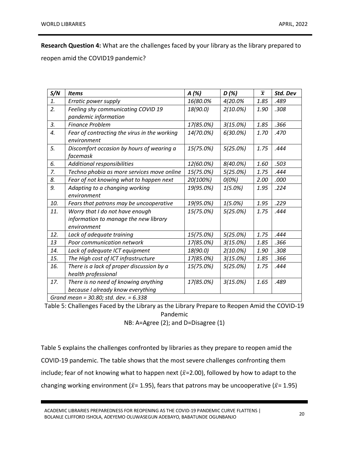**Research Question 4:** What are the challenges faced by your library as the library prepared to

reopen amid the COVID19 pandemic?

| S/N | <b>Items</b>                                 | $A(\%)$   | D(%)        | $\overline{x}$ | Std. Dev |
|-----|----------------------------------------------|-----------|-------------|----------------|----------|
| 1.  | Erratic power supply                         | 16(80.0%  | 4(20.0%     | 1.85           | .489     |
| 2.  | Feeling shy communicating COVID 19           | 18(90.0)  | $2(10.0\%)$ | 1.90           | .308     |
|     | pandemic information                         |           |             |                |          |
| 3.  | <b>Finance Problem</b>                       | 17(85.0%) | 3(15.0%)    | 1.85           | .366     |
| 4.  | Fear of contracting the virus in the working | 14(70.0%) | $6(30.0\%)$ | 1.70           | .470     |
|     | environment                                  |           |             |                |          |
| 5.  | Discomfort occasion by hours of wearing a    | 15(75.0%) | 5(25.0%)    | 1.75           | .444     |
|     | facemask                                     |           |             |                |          |
| 6.  | Additional responsibilities                  | 12(60.0%) | $8(40.0\%)$ | 1.60           | .503     |
| 7.  | Techno phobia as more services move online   | 15(75.0%) | 5(25.0%)    | 1.75           | .444     |
| 8.  | Fear of not knowing what to happen next      | 20(100%)  | O(0%)       | 2.00           | .000     |
| 9.  | Adapting to a changing working               | 19(95.0%) | $1(5.0\%)$  | 1.95           | .224     |
|     | environment                                  |           |             |                |          |
| 10. | Fears that patrons may be uncooperative      | 19(95.0%) | $1(5.0\%)$  | 1.95           | .229     |
| 11. | Worry that I do not have enough              | 15(75.0%) | 5(25.0%)    | 1.75           | .444     |
|     | information to manage the new library        |           |             |                |          |
|     | environment                                  |           |             |                |          |
| 12. | Lack of adequate training                    | 15(75.0%) | 5(25.0%)    | 1.75           | .444     |
| 13  | Poor communication network                   | 17(85.0%) | 3(15.0%)    | 1.85           | .366     |
| 14. | Lack of adequate ICT equipment               | 18(90.0)  | $2(10.0\%)$ | 1.90           | .308     |
| 15. | The High cost of ICT infrastructure          | 17(85.0%) | 3(15.0%)    | 1.85           | .366     |
| 16. | There is a lack of proper discussion by a    | 15(75.0%) | 5(25.0%)    | 1.75           | .444     |
|     | health professional                          |           |             |                |          |
| 17. | There is no need of knowing anything         | 17(85.0%) | 3(15.0%)    | 1.65           | .489     |
|     | because I already know everything            |           |             |                |          |
|     | Grand mean = 30.80; std. dev. = 6.338        |           |             |                |          |

Table 5: Challenges Faced by the Library as the Library Prepare to Reopen Amid the COVID-19 Pandemic

NB: A=Agree (2); and D=Disagree (1)

Table 5 explains the challenges confronted by libraries as they prepare to reopen amid the COVID-19 pandemic. The table shows that the most severe challenges confronting them include; fear of not knowing what to happen next ( $\bar{x}$ =2.00), followed by how to adapt to the changing working environment ( $\bar{x}$ = 1.95), fears that patrons may be uncooperative ( $\bar{x}$ = 1.95)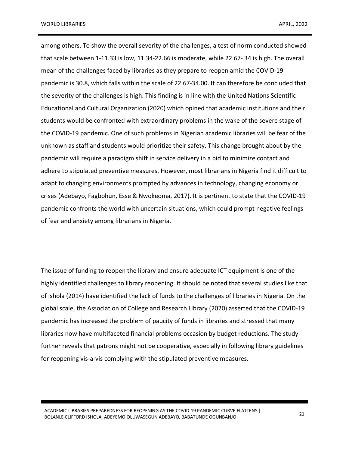among others. To show the overall severity of the challenges, a test of norm conducted showed that scale between 1-11.33 is low, 11.34-22.66 is moderate, while 22.67- 34 is high. The overall mean of the challenges faced by libraries as they prepare to reopen amid the COVID-19 pandemic is 30.8, which falls within the scale of 22.67-34.00. It can therefore be concluded that the severity of the challenges is high. This finding is in line with the United Nations Scientific Educational and Cultural Organization (2020) which opined that academic institutions and their students would be confronted with extraordinary problems in the wake of the severe stage of the COVID-19 pandemic. One of such problems in Nigerian academic libraries will be fear of the unknown as staff and students would prioritize their safety. This change brought about by the pandemic will require a paradigm shift in service delivery in a bid to minimize contact and adhere to stipulated preventive measures. However, most librarians in Nigeria find it difficult to adapt to changing environments prompted by advances in technology, changing economy or crises (Adebayo, Fagbohun, Esse & Nwokeoma, 2017). It is pertinent to state that the COVID-19 pandemic confronts the world with uncertain situations, which could prompt negative feelings of fear and anxiety among librarians in Nigeria.

The issue of funding to reopen the library and ensure adequate ICT equipment is one of the highly identified challenges to library reopening. It should be noted that several studies like that of Ishola (2014) have identified the lack of funds to the challenges of libraries in Nigeria. On the global scale, the Association of College and Research Library (2020) asserted that the COVID-19 pandemic has increased the problem of paucity of funds in libraries and stressed that many libraries now have multifaceted financial problems occasion by budget reductions. The study further reveals that patrons might not be cooperative, especially in following library guidelines for reopening vis-a-vis complying with the stipulated preventive measures.

ACADEMIC LIBRARIES PREPAREDNESS FOR REOPENING AS THE COVID-19 PANDEMIC CURVE FLATTENS | BOLANLE CLIFFORD ISHOLA, ADEYEMO OLUWASEGUN ADEBAYO, BABATUNDE OGUNBANJO <sup>21</sup>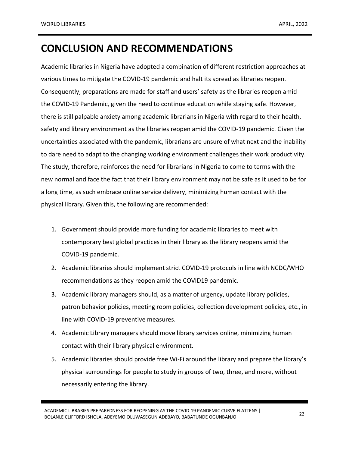## **CONCLUSION AND RECOMMENDATIONS**

Academic libraries in Nigeria have adopted a combination of different restriction approaches at various times to mitigate the COVID-19 pandemic and halt its spread as libraries reopen. Consequently, preparations are made for staff and users' safety as the libraries reopen amid the COVID-19 Pandemic, given the need to continue education while staying safe. However, there is still palpable anxiety among academic librarians in Nigeria with regard to their health, safety and library environment as the libraries reopen amid the COVID-19 pandemic. Given the uncertainties associated with the pandemic, librarians are unsure of what next and the inability to dare need to adapt to the changing working environment challenges their work productivity. The study, therefore, reinforces the need for librarians in Nigeria to come to terms with the new normal and face the fact that their library environment may not be safe as it used to be for a long time, as such embrace online service delivery, minimizing human contact with the physical library. Given this, the following are recommended:

- 1. Government should provide more funding for academic libraries to meet with contemporary best global practices in their library as the library reopens amid the COVID-19 pandemic.
- 2. Academic libraries should implement strict COVID-19 protocols in line with NCDC/WHO recommendations as they reopen amid the COVID19 pandemic.
- 3. Academic library managers should, as a matter of urgency, update library policies, patron behavior policies, meeting room policies, collection development policies, etc., in line with COVID-19 preventive measures.
- 4. Academic Library managers should move library services online, minimizing human contact with their library physical environment.
- 5. Academic libraries should provide free Wi-Fi around the library and prepare the library's physical surroundings for people to study in groups of two, three, and more, without necessarily entering the library.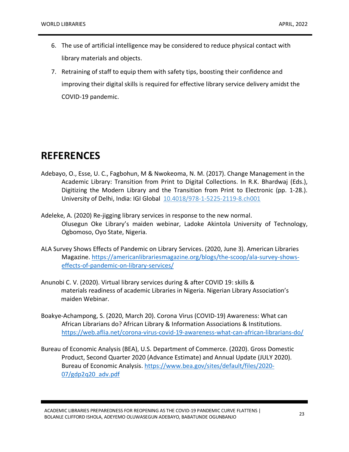- 6. The use of artificial intelligence may be considered to reduce physical contact with library materials and objects.
- 7. Retraining of staff to equip them with safety tips, boosting their confidence and improving their digital skills is required for effective library service delivery amidst the COVID-19 pandemic.

#### **REFERENCES**

- Adebayo, O., Esse, U. C., Fagbohun, M & Nwokeoma, N. M. (2017). Change Management in the Academic Library: Transition from Print to Digital Collections. In R.K. Bhardwaj (Eds.), Digitizing the Modern Library and the Transition from Print to Electronic (pp. 1-28.). University of Delhi, India: IGI Global 10.4018/978-1-5225-2119-8.ch001
- Adeleke, A. (2020) Re-jigging library services in response to the new normal. Olusegun Oke Library's maiden webinar, Ladoke Akintola University of Technology, Ogbomoso, Oyo State, Nigeria.
- ALA Survey Shows Effects of Pandemic on Library Services. (2020, June 3). American Libraries Magazine. https://americanlibrariesmagazine.org/blogs/the-scoop/ala-survey-showseffects-of-pandemic-on-library-services/
- Anunobi C. V. (2020). Virtual library services during & after COVID 19: skills & materials readiness of academic Libraries in Nigeria. Nigerian Library Association's maiden Webinar.
- Boakye-Achampong, S. (2020, March 20). Corona Virus (COVID-19) Awareness: What can African Librarians do? African Library & Information Associations & Institutions. https://web.aflia.net/corona-virus-covid-19-awareness-what-can-african-librarians-do/
- Bureau of Economic Analysis (BEA), U.S. Department of Commerce. (2020). Gross Domestic Product, Second Quarter 2020 (Advance Estimate) and Annual Update (JULY 2020). Bureau of Economic Analysis. https://www.bea.gov/sites/default/files/2020- 07/gdp2q20\_adv.pdf

ACADEMIC LIBRARIES PREPAREDNESS FOR REOPENING AS THE COVID-19 PANDEMIC CURVE FLATTENS | BOLANLE CLIFFORD ISHOLA, ADEYEMO OLUWASEGUN ADEBAYO, BABATUNDE OGUNBANJO <sup>23</sup>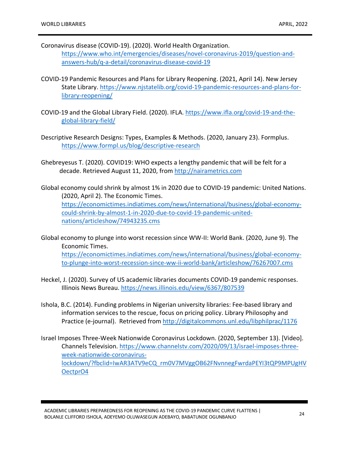- Coronavirus disease (COVID-19). (2020). World Health Organization. https://www.who.int/emergencies/diseases/novel-coronavirus-2019/question-andanswers-hub/q-a-detail/coronavirus-disease-covid-19
- COVID-19 Pandemic Resources and Plans for Library Reopening. (2021, April 14). New Jersey State Library. https://www.njstatelib.org/covid-19-pandemic-resources-and-plans-forlibrary-reopening/
- COVID-19 and the Global Library Field. (2020). IFLA. https://www.ifla.org/covid-19-and-theglobal-library-field/
- Descriptive Research Designs: Types, Examples & Methods. (2020, January 23). Formplus. https://www.formpl.us/blog/descriptive-research
- Ghebreyesus T. (2020). COVID19: WHO expects a lengthy pandemic that will be felt for a decade. Retrieved August 11, 2020, from http://nairametrics.com
- Global economy could shrink by almost 1% in 2020 due to COVID-19 pandemic: United Nations. (2020, April 2). The Economic Times. https://economictimes.indiatimes.com/news/international/business/global-economycould-shrink-by-almost-1-in-2020-due-to-covid-19-pandemic-unitednations/articleshow/74943235.cms
- Global economy to plunge into worst recession since WW-II: World Bank. (2020, June 9). The Economic Times. https://economictimes.indiatimes.com/news/international/business/global-economyto-plunge-into-worst-recession-since-ww-ii-world-bank/articleshow/76267007.cms
- Heckel, J. (2020). Survey of US academic libraries documents COVID-19 pandemic responses. Illinois News Bureau. https://news.illinois.edu/view/6367/807539
- Ishola, B.C. (2014). Funding problems in Nigerian university libraries: Fee-based library and information services to the rescue, focus on pricing policy. Library Philosophy and Practice (e-journal). Retrieved from http://digitalcommons.unl.edu/libphilprac/1176
- Israel Imposes Three-Week Nationwide Coronavirus Lockdown. (2020, September 13). [Video]. Channels Television. https://www.channelstv.com/2020/09/13/israel-imposes-threeweek-nationwide-coronaviruslockdown/?fbclid=IwAR3ATV9eCQ\_rm0V7MVggOB62FNvnnegFwrdaPEYI3tQP9MPUgHV OectprO4

ACADEMIC LIBRARIES PREPAREDNESS FOR REOPENING AS THE COVID-19 PANDEMIC CURVE FLATTENS | BOLANLE CLIFFORD ISHOLA, ADEYEMO OLUWASEGUN ADEBAYO, BABATUNDE OGUNBANJO <sup>24</sup>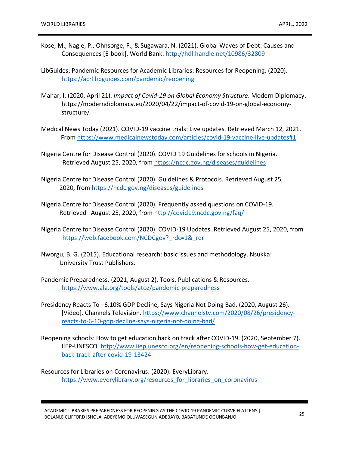- Kose, M., Nagle, P., Ohnsorge, F., & Sugawara, N. (2021). Global Waves of Debt: Causes and Consequences [E-book]. World Bank. http://hdl.handle.net/10986/32809
- LibGuides: Pandemic Resources for Academic Libraries: Resources for Reopening. (2020). https://acrl.libguides.com/pandemic/reopening
- Mahar, I. (2020, April 21). *Impact of Covid-19 on Global Economy Structure*. Modern Diplomacy. https://moderndiplomacy.eu/2020/04/22/impact-of-covid-19-on-global-economystructure/
- Medical News Today (2021). COVID-19 vaccine trials: Live updates. Retrieved March 12, 2021, From https://www.medicalnewstoday.com/articles/covid-19-vaccine-live-updates#1
- Nigeria Centre for Disease Control (2020). COVID 19 Guidelines for schools in Nigeria. Retrieved August 25, 2020, from https://ncdc.gov.ng/diseases/guidelines
- Nigeria Centre for Disease Control (2020). Guidelines & Protocols. Retrieved August 25, 2020, from https://ncdc.gov.ng/diseases/guidelines
- Nigeria Centre for Disease Control (2020). Frequently asked questions on COVID-19. Retrieved August 25, 2020, from http://covid19.ncdc.gov.ng/faq/
- Nigeria Centre for Disease Control (2020). COVID-19 Updates. Retrieved August 25, 2020, from https://web.facebook.com/NCDCgov? rdc=1& rdr
- Nworgu, B. G. (2015). Educational research: basic issues and methodology. Nsukka: University Trust Publishers.
- Pandemic Preparedness. (2021, August 2). Tools, Publications & Resources. https://www.ala.org/tools/atoz/pandemic-preparedness
- Presidency Reacts To –6.10% GDP Decline, Says Nigeria Not Doing Bad. (2020, August 26). [Video]. Channels Television. https://www.channelstv.com/2020/08/26/presidencyreacts-to-6-10-gdp-decline-says-nigeria-not-doing-bad/
- Reopening schools: How to get education back on track after COVID-19. (2020, September 7). IIEP-UNESCO. http://www.iiep.unesco.org/en/reopening-schools-how-get-educationback-track-after-covid-19-13424

Resources for Libraries on Coronavirus. (2020). EveryLibrary. https://www.everylibrary.org/resources for libraries on coronavirus